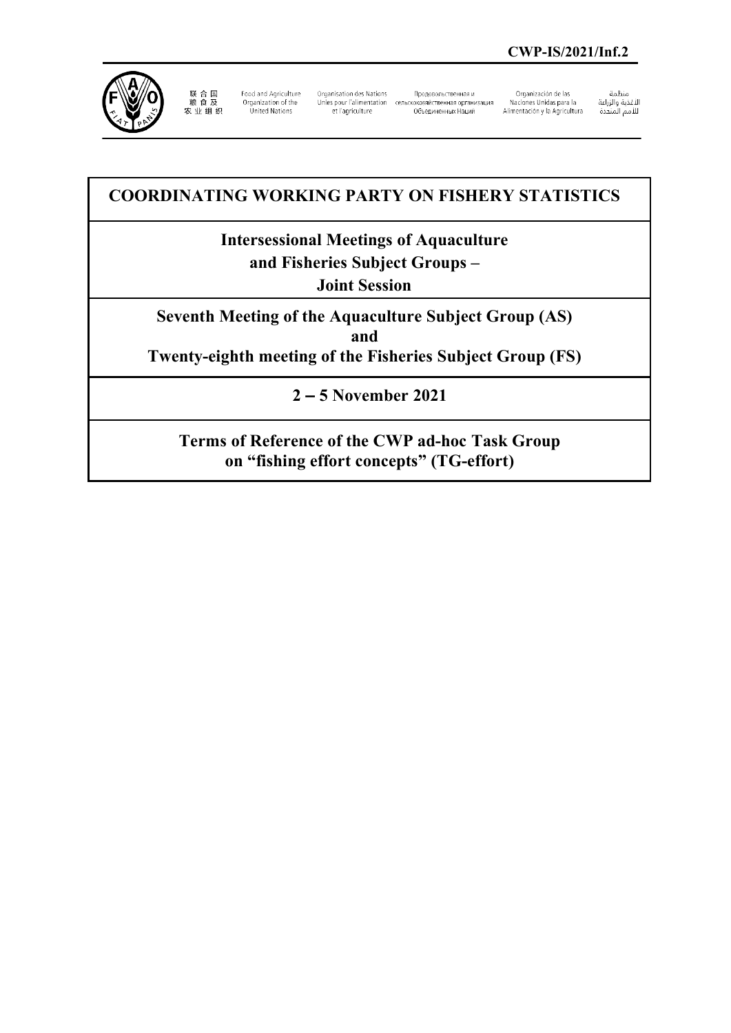

联 合 国<br>粮 食 及<br>农 业 组 织

Food and Agriculture Organization of the<br>United Nations

Organisation des Nations Unies pour l'alimentation сельскохозяйственная организация et l'agriculture

Продовольственная и 

Organización de las Naciones Unidas para la Alimentación y la Agricultura منظمة

سنيسه<br>الأغذية والزراعة<br>للأمم المتحدة

## **COORDINATING WORKING PARTY ON FISHERY STATISTICS**

# **Intersessional Meetings of Aquaculture**

**and Fisheries Subject Groups –** 

**Joint Session**

**Seventh Meeting of the Aquaculture Subject Group (AS) and Twenty-eighth meeting of the Fisheries Subject Group (FS)**

**2 – 5 November 2021**

**Terms of Reference of the CWP ad-hoc Task Group on "fishing effort concepts" (TG-effort)**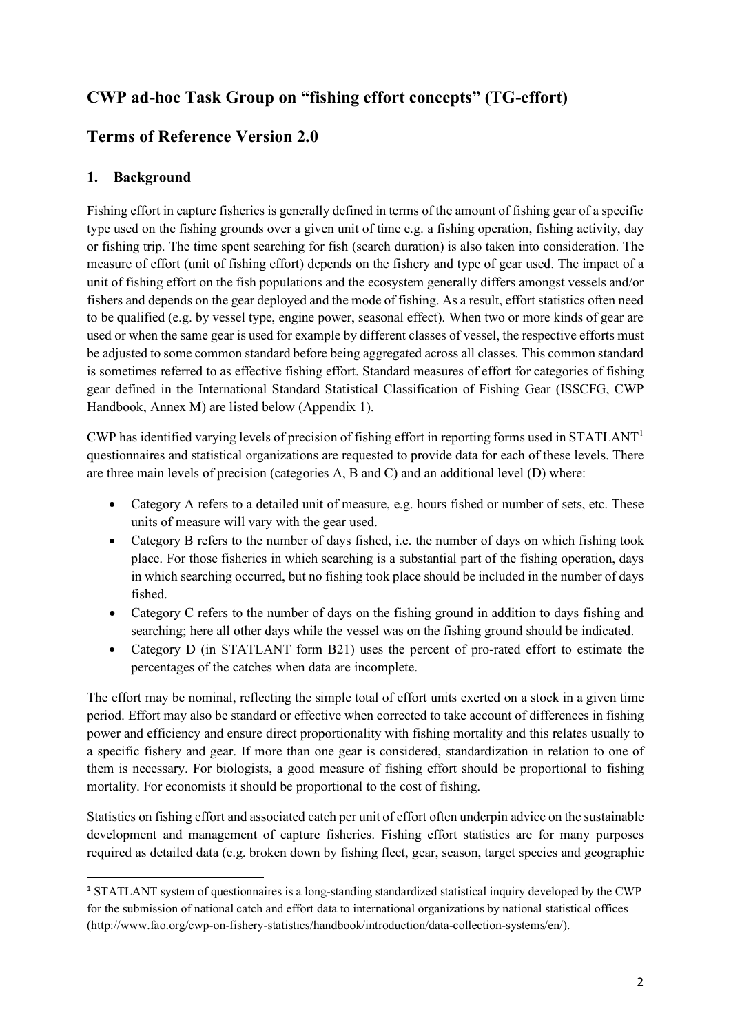## **CWP ad-hoc Task Group on "fishing effort concepts" (TG-effort)**

## **Terms of Reference Version 2.0**

#### **1. Background**

Fishing effort in capture fisheries is generally defined in terms of the amount of fishing gear of a specific type used on the fishing grounds over a given unit of time e.g. a fishing operation, fishing activity, day or fishing trip. The time spent searching for fish (search duration) is also taken into consideration. The measure of effort (unit of fishing effort) depends on the fishery and type of gear used. The impact of a unit of fishing effort on the fish populations and the ecosystem generally differs amongst vessels and/or fishers and depends on the gear deployed and the mode of fishing. As a result, effort statistics often need to be qualified (e.g. by vessel type, engine power, seasonal effect). When two or more kinds of gear are used or when the same gear is used for example by different classes of vessel, the respective efforts must be adjusted to some common standard before being aggregated across all classes. This common standard is sometimes referred to as effective fishing effort. Standard measures of effort for categories of fishing gear defined in the International Standard Statistical Classification of Fishing Gear (ISSCFG, CWP Handbook, Annex M) are listed below (Appendix 1).

CWP has identified varying levels of precision of fishing effort in reporting forms used in  $STATLANT<sup>1</sup>$  $STATLANT<sup>1</sup>$  $STATLANT<sup>1</sup>$ questionnaires and statistical organizations are requested to provide data for each of these levels. There are three main levels of precision (categories A, B and C) and an additional level (D) where:

- Category A refers to a detailed unit of measure, e.g. hours fished or number of sets, etc. These units of measure will vary with the gear used.
- Category B refers to the number of days fished, i.e. the number of days on which fishing took place. For those fisheries in which searching is a substantial part of the fishing operation, days in which searching occurred, but no fishing took place should be included in the number of days fished.
- Category C refers to the number of days on the fishing ground in addition to days fishing and searching; here all other days while the vessel was on the fishing ground should be indicated.
- Category D (in STATLANT form B21) uses the percent of pro-rated effort to estimate the percentages of the catches when data are incomplete.

The effort may be nominal, reflecting the simple total of effort units exerted on a stock in a given time period. Effort may also be standard or effective when corrected to take account of differences in fishing power and efficiency and ensure direct proportionality with fishing mortality and this relates usually to a specific fishery and gear. If more than one gear is considered, standardization in relation to one of them is necessary. For biologists, a good measure of fishing effort should be proportional to fishing mortality. For economists it should be proportional to the cost of fishing.

Statistics on fishing effort and associated catch per unit of effort often underpin advice on the sustainable development and management of capture fisheries. Fishing effort statistics are for many purposes required as detailed data (e.g. broken down by fishing fleet, gear, season, target species and geographic

<span id="page-1-0"></span><sup>1</sup> STATLANT system of questionnaires is a long-standing standardized statistical inquiry developed by the CWP for the submission of national catch and effort data to international organizations by national statistical offices (http://www.fao.org/cwp-on-fishery-statistics/handbook/introduction/data-collection-systems/en/).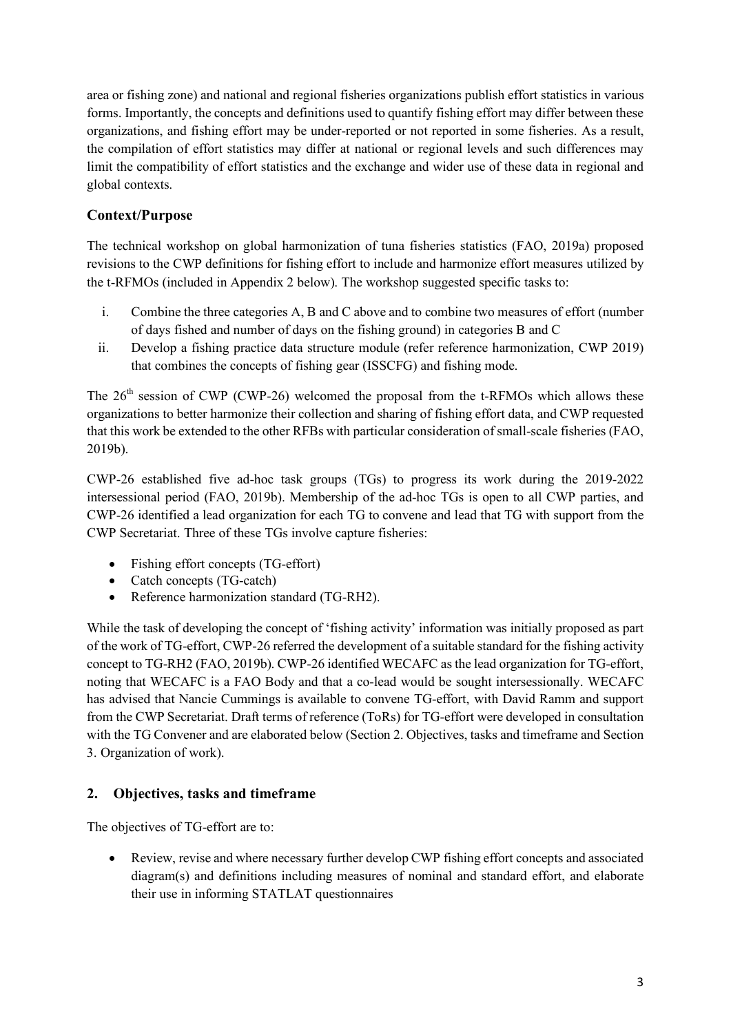area or fishing zone) and national and regional fisheries organizations publish effort statistics in various forms. Importantly, the concepts and definitions used to quantify fishing effort may differ between these organizations, and fishing effort may be under-reported or not reported in some fisheries. As a result, the compilation of effort statistics may differ at national or regional levels and such differences may limit the compatibility of effort statistics and the exchange and wider use of these data in regional and global contexts.

#### **Context/Purpose**

The technical workshop on global harmonization of tuna fisheries statistics (FAO, 2019a) proposed revisions to the CWP definitions for fishing effort to include and harmonize effort measures utilized by the t-RFMOs (included in Appendix 2 below). The workshop suggested specific tasks to:

- i. Combine the three categories A, B and C above and to combine two measures of effort (number of days fished and number of days on the fishing ground) in categories B and C
- ii. Develop a fishing practice data structure module (refer reference harmonization, CWP 2019) that combines the concepts of fishing gear (ISSCFG) and fishing mode.

The  $26<sup>th</sup>$  session of CWP (CWP-26) welcomed the proposal from the t-RFMOs which allows these organizations to better harmonize their collection and sharing of fishing effort data, and CWP requested that this work be extended to the other RFBs with particular consideration ofsmall-scale fisheries (FAO, 2019b).

CWP-26 established five ad-hoc task groups (TGs) to progress its work during the 2019-2022 intersessional period (FAO, 2019b). Membership of the ad-hoc TGs is open to all CWP parties, and CWP-26 identified a lead organization for each TG to convene and lead that TG with support from the CWP Secretariat. Three of these TGs involve capture fisheries:

- Fishing effort concepts (TG-effort)
- Catch concepts (TG-catch)
- Reference harmonization standard (TG-RH2).

While the task of developing the concept of 'fishing activity' information was initially proposed as part of the work of TG-effort, CWP-26 referred the development of a suitable standard for the fishing activity concept to TG-RH2 (FAO, 2019b). CWP-26 identified WECAFC as the lead organization for TG-effort, noting that WECAFC is a FAO Body and that a co-lead would be sought intersessionally. WECAFC has advised that Nancie Cummings is available to convene TG-effort, with David Ramm and support from the CWP Secretariat. Draft terms of reference (ToRs) for TG-effort were developed in consultation with the TG Convener and are elaborated below (Section 2. Objectives, tasks and timeframe and Section 3. Organization of work).

#### **2. Objectives, tasks and timeframe**

The objectives of TG-effort are to:

• Review, revise and where necessary further develop CWP fishing effort concepts and associated diagram(s) and definitions including measures of nominal and standard effort, and elaborate their use in informing STATLAT questionnaires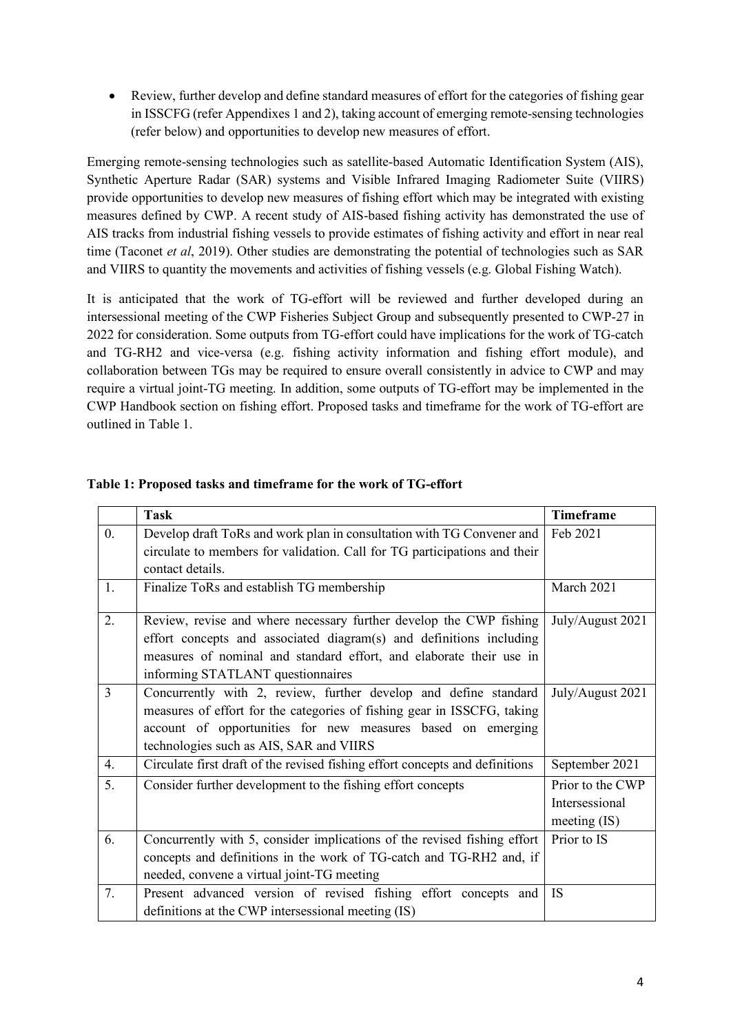• Review, further develop and define standard measures of effort for the categories of fishing gear in ISSCFG (refer Appendixes 1 and 2), taking account of emerging remote-sensing technologies (refer below) and opportunities to develop new measures of effort.

Emerging remote-sensing technologies such as satellite-based Automatic Identification System (AIS), Synthetic Aperture Radar (SAR) systems and Visible Infrared Imaging Radiometer Suite (VIIRS) provide opportunities to develop new measures of fishing effort which may be integrated with existing measures defined by CWP. A recent study of AIS-based fishing activity has demonstrated the use of AIS tracks from industrial fishing vessels to provide estimates of fishing activity and effort in near real time (Taconet *et al*, 2019). Other studies are demonstrating the potential of technologies such as SAR and VIIRS to quantity the movements and activities of fishing vessels (e.g. Global Fishing Watch).

It is anticipated that the work of TG-effort will be reviewed and further developed during an intersessional meeting of the CWP Fisheries Subject Group and subsequently presented to CWP-27 in 2022 for consideration. Some outputs from TG-effort could have implications for the work of TG-catch and TG-RH2 and vice-versa (e.g. fishing activity information and fishing effort module), and collaboration between TGs may be required to ensure overall consistently in advice to CWP and may require a virtual joint-TG meeting. In addition, some outputs of TG-effort may be implemented in the CWP Handbook section on fishing effort. Proposed tasks and timeframe for the work of TG-effort are outlined in Table 1.

|                  | <b>Task</b>                                                                  | Timeframe        |
|------------------|------------------------------------------------------------------------------|------------------|
| $\overline{0}$ . | Develop draft ToRs and work plan in consultation with TG Convener and        | Feb 2021         |
|                  | circulate to members for validation. Call for TG participations and their    |                  |
|                  | contact details.                                                             |                  |
| 1.               | Finalize ToRs and establish TG membership                                    | March 2021       |
| 2.               | Review, revise and where necessary further develop the CWP fishing           | July/August 2021 |
|                  | effort concepts and associated diagram(s) and definitions including          |                  |
|                  | measures of nominal and standard effort, and elaborate their use in          |                  |
|                  | informing STATLANT questionnaires                                            |                  |
| 3                | Concurrently with 2, review, further develop and define standard             | July/August 2021 |
|                  | measures of effort for the categories of fishing gear in ISSCFG, taking      |                  |
|                  | account of opportunities for new measures based on emerging                  |                  |
|                  | technologies such as AIS, SAR and VIIRS                                      |                  |
| 4.               | Circulate first draft of the revised fishing effort concepts and definitions | September 2021   |
| 5.               | Consider further development to the fishing effort concepts                  | Prior to the CWP |
|                  |                                                                              | Intersessional   |
|                  |                                                                              | meeting $(IS)$   |
| 6.               | Concurrently with 5, consider implications of the revised fishing effort     | Prior to IS      |
|                  | concepts and definitions in the work of TG-catch and TG-RH2 and, if          |                  |
|                  | needed, convene a virtual joint-TG meeting                                   |                  |
| 7.               | Present advanced version of revised fishing effort concepts and              | IS               |
|                  | definitions at the CWP intersessional meeting (IS)                           |                  |

#### **Table 1: Proposed tasks and timeframe for the work of TG-effort**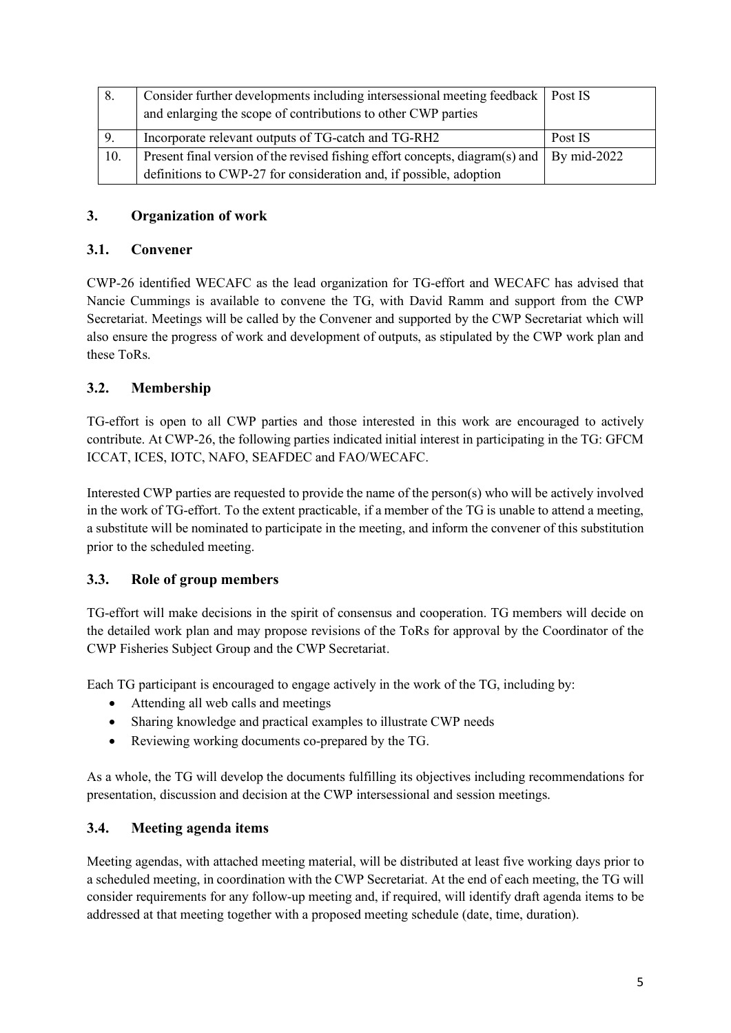| 8.  | Consider further developments including intersessional meeting feedback   Post IS<br>and enlarging the scope of contributions to other CWP parties |               |
|-----|----------------------------------------------------------------------------------------------------------------------------------------------------|---------------|
| 9.  | Incorporate relevant outputs of TG-catch and TG-RH2                                                                                                | Post IS       |
| 10. | Present final version of the revised fishing effort concepts, diagram(s) and                                                                       | By $mid-2022$ |
|     | definitions to CWP-27 for consideration and, if possible, adoption                                                                                 |               |

#### **3. Organization of work**

#### **3.1. Convener**

CWP-26 identified WECAFC as the lead organization for TG-effort and WECAFC has advised that Nancie Cummings is available to convene the TG, with David Ramm and support from the CWP Secretariat. Meetings will be called by the Convener and supported by the CWP Secretariat which will also ensure the progress of work and development of outputs, as stipulated by the CWP work plan and these ToRs.

#### **3.2. Membership**

TG-effort is open to all CWP parties and those interested in this work are encouraged to actively contribute. At CWP-26, the following parties indicated initial interest in participating in the TG: GFCM ICCAT, ICES, IOTC, NAFO, SEAFDEC and FAO/WECAFC.

Interested CWP parties are requested to provide the name of the person(s) who will be actively involved in the work of TG-effort. To the extent practicable, if a member of the TG is unable to attend a meeting, a substitute will be nominated to participate in the meeting, and inform the convener of this substitution prior to the scheduled meeting.

#### **3.3. Role of group members**

TG-effort will make decisions in the spirit of consensus and cooperation. TG members will decide on the detailed work plan and may propose revisions of the ToRs for approval by the Coordinator of the CWP Fisheries Subject Group and the CWP Secretariat.

Each TG participant is encouraged to engage actively in the work of the TG, including by:

- Attending all web calls and meetings
- Sharing knowledge and practical examples to illustrate CWP needs
- Reviewing working documents co-prepared by the TG.

As a whole, the TG will develop the documents fulfilling its objectives including recommendations for presentation, discussion and decision at the CWP intersessional and session meetings.

#### **3.4. Meeting agenda items**

Meeting agendas, with attached meeting material, will be distributed at least five working days prior to a scheduled meeting, in coordination with the CWP Secretariat. At the end of each meeting, the TG will consider requirements for any follow-up meeting and, if required, will identify draft agenda items to be addressed at that meeting together with a proposed meeting schedule (date, time, duration).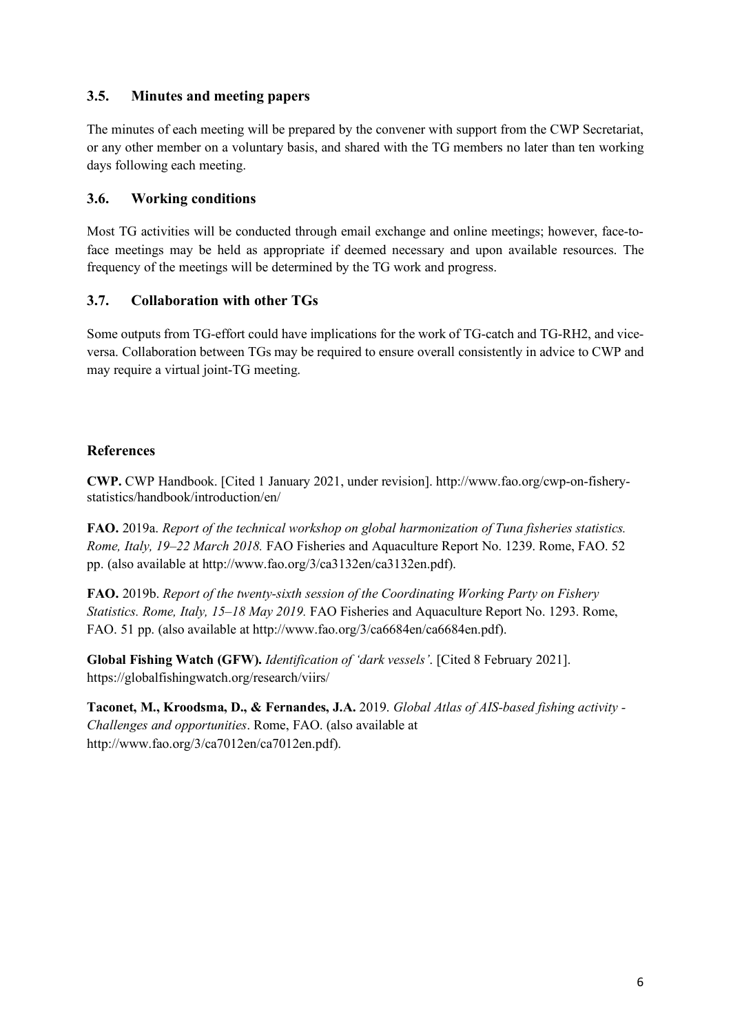#### **3.5. Minutes and meeting papers**

The minutes of each meeting will be prepared by the convener with support from the CWP Secretariat, or any other member on a voluntary basis, and shared with the TG members no later than ten working days following each meeting.

#### **3.6. Working conditions**

Most TG activities will be conducted through email exchange and online meetings; however, face-toface meetings may be held as appropriate if deemed necessary and upon available resources. The frequency of the meetings will be determined by the TG work and progress.

#### **3.7. Collaboration with other TGs**

Some outputs from TG-effort could have implications for the work of TG-catch and TG-RH2, and viceversa. Collaboration between TGs may be required to ensure overall consistently in advice to CWP and may require a virtual joint-TG meeting.

#### **References**

**CWP.** CWP Handbook. [Cited 1 January 2021, under revision]. http://www.fao.org/cwp-on-fisherystatistics/handbook/introduction/en/

**FAO.** 2019a. *Report of the technical workshop on global harmonization of Tuna fisheries statistics. Rome, Italy, 19–22 March 2018.* FAO Fisheries and Aquaculture Report No. 1239. Rome, FAO. 52 pp. (also available at http://www.fao.org/3/ca3132en/ca3132en.pdf).

**FAO.** 2019b. *Report of the twenty-sixth session of the Coordinating Working Party on Fishery Statistics. Rome, Italy, 15–18 May 2019.* FAO Fisheries and Aquaculture Report No. 1293. Rome, FAO. 51 pp. (also available at http://www.fao.org/3/ca6684en/ca6684en.pdf).

**Global Fishing Watch (GFW).** *Identification of 'dark vessels'*. [Cited 8 February 2021]. https://globalfishingwatch.org/research/viirs/

**Taconet, M., Kroodsma, D., & Fernandes, J.A.** 2019. *Global Atlas of AIS-based fishing activity - Challenges and opportunities*. Rome, FAO. (also available at http://www.fao.org/3/ca7012en/ca7012en.pdf).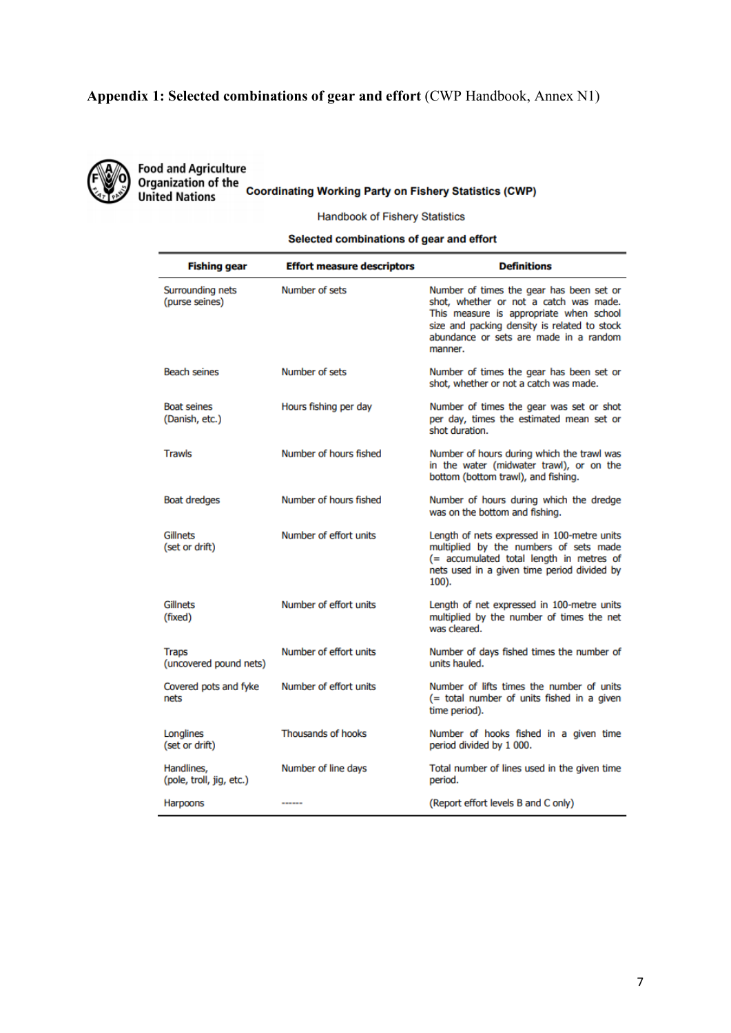### **Appendix 1: Selected combinations of gear and effort** (CWP Handbook, Annex N1)



Food and Agriculture<br>Organization of the<br>United Nations Coordinating Working Party on Fishery Statistics (CWP)

**Handbook of Fishery Statistics** 

#### Selected combinations of gear and effort

| <b>Fishing gear</b>                    | <b>Effort measure descriptors</b> | <b>Definitions</b>                                                                                                                                                                                                                 |
|----------------------------------------|-----------------------------------|------------------------------------------------------------------------------------------------------------------------------------------------------------------------------------------------------------------------------------|
| Surrounding nets<br>(purse seines)     | Number of sets                    | Number of times the gear has been set or<br>shot, whether or not a catch was made.<br>This measure is appropriate when school<br>size and packing density is related to stock<br>abundance or sets are made in a random<br>manner. |
| Beach seines                           | Number of sets                    | Number of times the gear has been set or<br>shot, whether or not a catch was made.                                                                                                                                                 |
| <b>Boat seines</b><br>(Danish, etc.)   | Hours fishing per day             | Number of times the gear was set or shot<br>per day, times the estimated mean set or<br>shot duration.                                                                                                                             |
| <b>Trawls</b>                          | Number of hours fished            | Number of hours during which the trawl was<br>in the water (midwater trawl), or on the<br>bottom (bottom trawl), and fishing.                                                                                                      |
| <b>Boat dredges</b>                    | Number of hours fished            | Number of hours during which the dredge<br>was on the bottom and fishing.                                                                                                                                                          |
| Gillnets<br>(set or drift)             | Number of effort units            | Length of nets expressed in 100-metre units<br>multiplied by the numbers of sets made<br>(= accumulated total length in metres of<br>nets used in a given time period divided by<br>$100$ ).                                       |
| Gillnets<br>(fixed)                    | Number of effort units            | Length of net expressed in 100-metre units<br>multiplied by the number of times the net<br>was cleared.                                                                                                                            |
| <b>Traps</b><br>(uncovered pound nets) | Number of effort units            | Number of days fished times the number of<br>units hauled.                                                                                                                                                                         |
| Covered pots and fyke<br>nets          | Number of effort units            | Number of lifts times the number of units<br>(= total number of units fished in a given<br>time period).                                                                                                                           |
| Longlines<br>(set or drift)            | <b>Thousands of hooks</b>         | Number of hooks fished in a given time<br>period divided by 1 000.                                                                                                                                                                 |
| Handlines.<br>(pole, troll, jig, etc.) | Number of line days               | Total number of lines used in the given time<br>period.                                                                                                                                                                            |
| Harpoons                               | ------                            | (Report effort levels B and C only)                                                                                                                                                                                                |